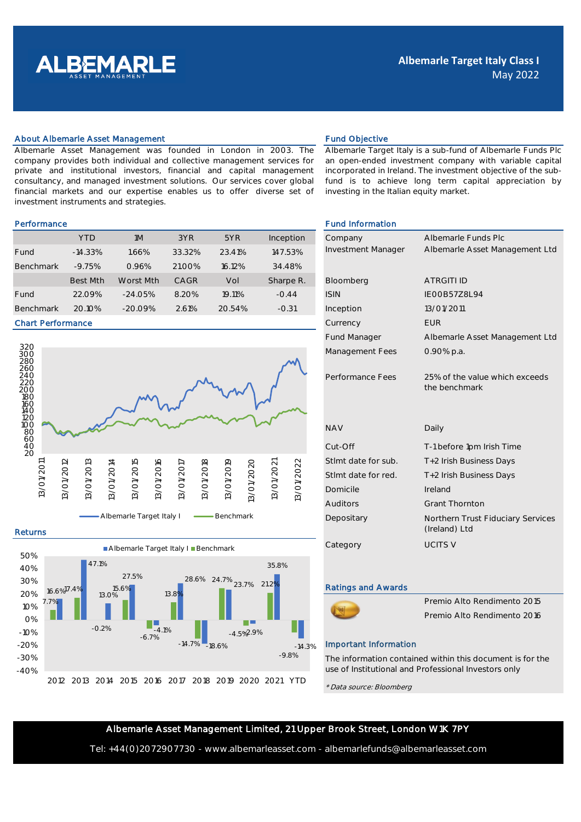

### About Albemarle Asset Management **Fund Objective** Fund Objective

Albemarle Asset Management was founded in London in 2003. The company provides both individual and collective management services for private and institutional investors, financial and capital management consultancy, and managed investment solutions. Our services cover global financial markets and our expertise enables us to offer diverse set of investment instruments and strategies.

|                  | <b>YTD</b>      | 1M        | 3YR    | 5YR    | Inception | Company                   | Albemarle Fun       |
|------------------|-----------------|-----------|--------|--------|-----------|---------------------------|---------------------|
| Fund             | $-14.33%$       | .66%      | 33.32% | 23.41% | 147.53%   | <b>Investment Manager</b> | Albemarle Asse      |
| <b>Benchmark</b> | $-9.75%$        | 0.96%     | 21.00% | 16.12% | 34.48%    |                           |                     |
|                  | <b>Best Mth</b> | Worst Mth | CAGR   | Vol    | Sharpe R. | Bloomberg                 | <b>ATRGITI ID</b>   |
| Fund             | 22.09%          | $-24.05%$ | 8.20%  | 19.11% | $-0.44$   | <b>ISIN</b>               | <b>IEOOB57Z8L94</b> |
| <b>Benchmark</b> | 20.10%          | $-20.09%$ | 2.61%  | 20.54% | $-0.31$   | Inception                 | 13/01/2011          |

#### Chart Performance



# Returns



Albemarle Target Italy is a sub-fund of Albemarle Funds Plc an open-ended investment company with variable capital incorporated in Ireland. The investment objective of the subfund is to achieve long term capital appreciation by investing in the Italian equity market.

## Performance **Fund Information Fund Information**

| Company                   | Albemarle Funds Plc                                |  |  |  |
|---------------------------|----------------------------------------------------|--|--|--|
| <b>Investment Manager</b> | Albemarle Asset Management Ltd                     |  |  |  |
|                           |                                                    |  |  |  |
| Bloomberg                 | <b>ATRGITI ID</b>                                  |  |  |  |
| <b>ISIN</b>               | <b>IFOOB5778L94</b>                                |  |  |  |
| Inception                 | 13/01/2011                                         |  |  |  |
| Currency                  | <b>FUR</b>                                         |  |  |  |
| <b>Fund Manager</b>       | Albemarle Asset Management Ltd                     |  |  |  |
| Management Fees           | 0.90% p.a.                                         |  |  |  |
|                           |                                                    |  |  |  |
| Performance Fees          | 25% of the value which exceeds<br>the benchmark    |  |  |  |
|                           |                                                    |  |  |  |
|                           |                                                    |  |  |  |
| <b>NAV</b>                | Daily                                              |  |  |  |
|                           |                                                    |  |  |  |
| Cut-Off                   | T-1 before 1pm Irish Time                          |  |  |  |
| Stimt date for sub.       | T+2 Irish Business Days                            |  |  |  |
| Stlmt date for red.       | T+2 Irish Business Days                            |  |  |  |
| Domicile                  | Ireland                                            |  |  |  |
| Auditors                  | <b>Grant Thornton</b>                              |  |  |  |
| Depositary                | Northern Trust Fiduciary Services<br>(Ireland) Ltd |  |  |  |
| Category                  | <b>UCITS V</b>                                     |  |  |  |
|                           |                                                    |  |  |  |

### Ratings and Awards



Premio Alto Rendimento 2015 Premio Alto Rendimento 2016

# Important Information

The information contained within this document is for the use of Institutional and Professional Investors only

\* Data source: Bloomberg

# Albemarle Asset Management Limited, 21 Upper Brook Street, London W1K 7PY

Tel: +44(0)2072907730 - www.albemarleasset.com - albemarlefunds@albemarleasset.com